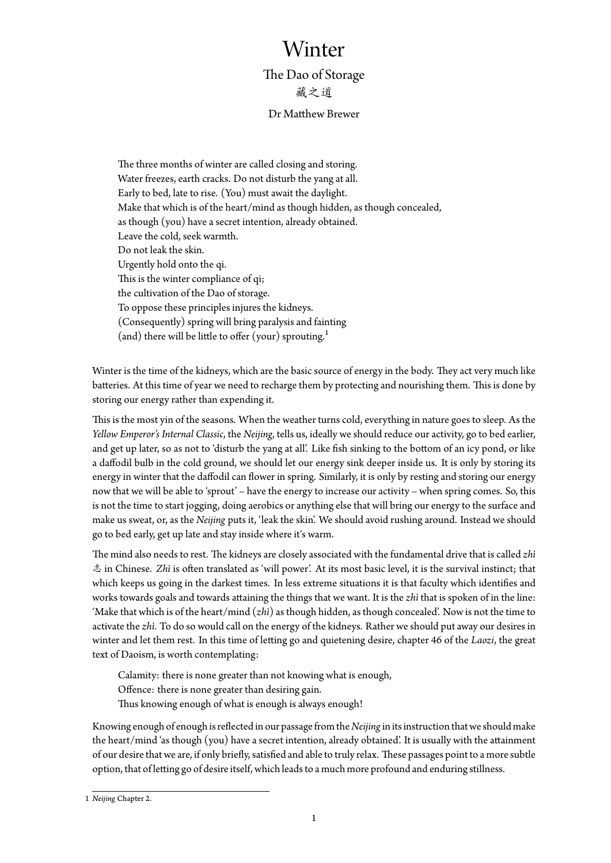## Winter

The Dao of Storage 藏之道

## Dr Matthew Brewer

The three months of winter are called closing and storing. Water freezes, earth cracks. Do not disturb the yang at all. Early to bed, late to rise. (You) must await the daylight. Make that which is of the heart/mind as though hidden, as though concealed, as though (you) have a secret intention, already obtained. Leave the cold, seek warmth. Do not leak the skin. Urgently hold onto the qi. This is the winter compliance of qi; the cultivation of the Dao of storage. To oppose these principles injures the kidneys. (Consequently) spring will bring paralysis and fainting (and) there will be little to offer (your) sprouting.<sup>1</sup>

Winter is the time of the kidneys, which are the basic source of energy in the body. They act very much like batteries. At this time of year we need to recharge them [by](#page-0-0) protecting and nourishing them. This is done by storing our energy rather than expending it.

This is the most yin of the seasons. When the weather turns cold, everything in nature goes to sleep. As the *Yellow Emperor's Internal Classic*, the *Neijing*, tells us, ideally we should reduce our activity, go to bed earlier, and get up later, so as not to 'disturb the yang at all'. Like fish sinking to the bottom of an icy pond, or like a daffodil bulb in the cold ground, we should let our energy sink deeper inside us. It is only by storing its energy in winter that the daffodil can flower in spring. Similarly, it is only by resting and storing our energy now that we will be able to 'sprout' – have the energy to increase our activity – when spring comes. So, this is not the time to start jogging, doing aerobics or anything else that will bring our energy to the surface and make us sweat, or, as the *Neijing* puts it, 'leak the skin'. We should avoid rushing around. Instead we should go to bed early, get up late and stay inside where it's warm.

The mind also needs to rest. The kidneys are closely associated with the fundamental drive that is called *zhì* 志 in Chinese. *Zhì* is often translated as 'will power'. At its most basic level, it is the survival instinct; that which keeps us going in the darkest times. In less extreme situations it is that faculty which identifies and works towards goals and towards attaining the things that we want. It is the *zhì* that is spoken of in the line: 'Make that which is of the heart/mind (*zhì*) as though hidden, as though concealed'. Now is not the time to activate the *zhì*. To do so would call on the energy of the kidneys. Rather we should put away our desires in winter and let them rest. In this time of letting go and quietening desire, chapter 46 of the *Laozi*, the great text of Daoism, is worth contemplating:

Calamity: there is none greater than not knowing what is enough, Offence: there is none greater than desiring gain. Thus knowing enough of what is enough is always enough!

Knowing enough of enough is reflected in our passage from the *Neijing* in its instruction that we should make the heart/mind 'as though (you) have a secret intention, already obtained'. It is usually with the attainment of our desire that we are, if only briefly, satisfied and able to truly relax. These passages point to a more subtle option, that of letting go of desire itself, which leads to a much more profound and enduring stillness.

<span id="page-0-0"></span><sup>1</sup> *Neijing* Chapter 2.